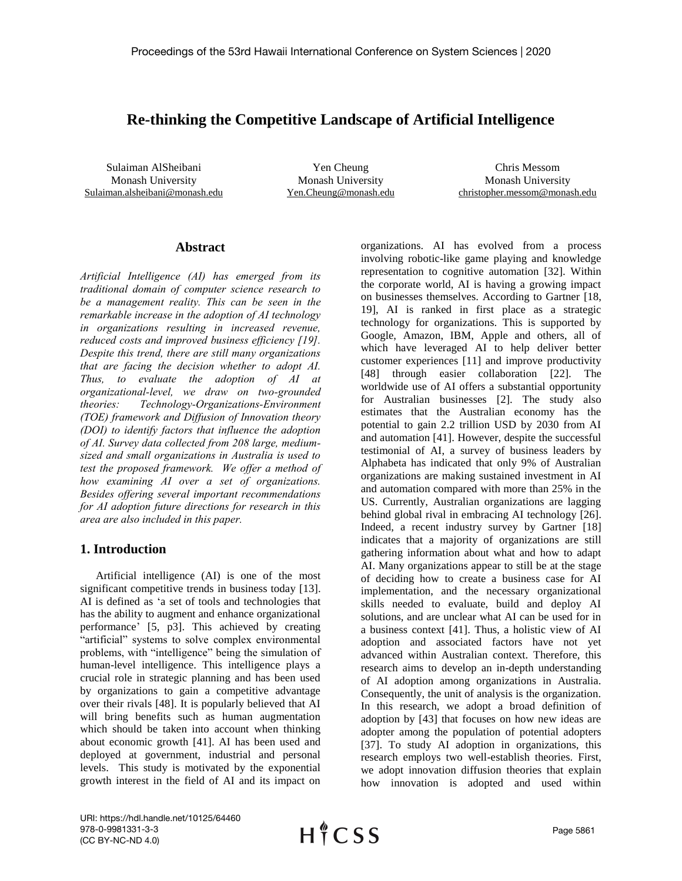# **Re-thinking the Competitive Landscape of Artificial Intelligence**

Sulaiman AlSheibani Monash University Sulaiman.alsheibani@monash.edu

Yen Cheung Monash University Yen.Cheung@monash.edu

Chris Messom Monash University christopher.messom@monash.edu

#### **Abstract**

*Artificial Intelligence (AI) has emerged from its traditional domain of computer science research to be a management reality. This can be seen in the remarkable increase in the adoption of AI technology in organizations resulting in increased revenue, reduced costs and improved business efficiency [19]. Despite this trend, there are still many organizations that are facing the decision whether to adopt AI. Thus, to evaluate the adoption of AI at organizational-level, we draw on two-grounded theories: Technology-Organizations-Environment (TOE) framework and Diffusion of Innovation theory (DOI) to identify factors that influence the adoption of AI. Survey data collected from 208 large, mediumsized and small organizations in Australia is used to test the proposed framework. We offer a method of how examining AI over a set of organizations. Besides offering several important recommendations for AI adoption future directions for research in this area are also included in this paper.*

### **1. Introduction**

Artificial intelligence (AI) is one of the most significant competitive trends in business today [13]. AI is defined as 'a set of tools and technologies that has the ability to augment and enhance organizational performance' [5, p3]. This achieved by creating "artificial" systems to solve complex environmental problems, with "intelligence" being the simulation of human-level intelligence. This intelligence plays a crucial role in strategic planning and has been used by organizations to gain a competitive advantage over their rivals [48]. It is popularly believed that AI will bring benefits such as human augmentation which should be taken into account when thinking about economic growth [41]. AI has been used and deployed at government, industrial and personal levels. This study is motivated by the exponential growth interest in the field of AI and its impact on

organizations. AI has evolved from a process involving robotic-like game playing and knowledge representation to cognitive automation [32]. Within the corporate world, AI is having a growing impact on businesses themselves. According to Gartner [18, 19], AI is ranked in first place as a strategic technology for organizations. This is supported by Google, Amazon, IBM, Apple and others, all of which have leveraged AI to help deliver better customer experiences [11] and improve productivity [48] through easier collaboration [22]. The worldwide use of AI offers a substantial opportunity for Australian businesses [2]. The study also estimates that the Australian economy has the potential to gain 2.2 trillion USD by 2030 from AI and automation [41]. However, despite the successful testimonial of AI, a survey of business leaders by Alphabeta has indicated that only 9% of Australian organizations are making sustained investment in AI and automation compared with more than 25% in the US. Currently, Australian organizations are lagging behind global rival in embracing AI technology [26]. Indeed, a recent industry survey by Gartner [18] indicates that a majority of organizations are still gathering information about what and how to adapt AI. Many organizations appear to still be at the stage of deciding how to create a business case for AI implementation, and the necessary organizational skills needed to evaluate, build and deploy AI solutions, and are unclear what AI can be used for in a business context [41]. Thus, a holistic view of AI adoption and associated factors have not yet advanced within Australian context. Therefore, this research aims to develop an in-depth understanding of AI adoption among organizations in Australia. Consequently, the unit of analysis is the organization. In this research, we adopt a broad definition of adoption by [43] that focuses on how new ideas are adopter among the population of potential adopters [37]. To study AI adoption in organizations, this research employs two well-establish theories. First, we adopt innovation diffusion theories that explain how innovation is adopted and used within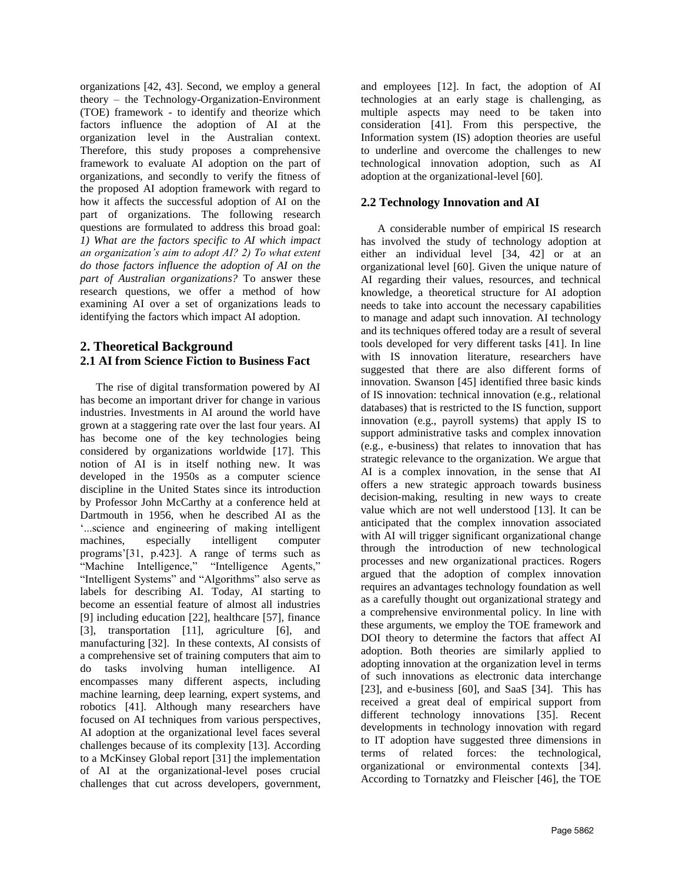organizations [42, 43]. Second, we employ a general theory – the Technology-Organization-Environment (TOE) framework - to identify and theorize which factors influence the adoption of AI at the organization level in the Australian context. Therefore, this study proposes a comprehensive framework to evaluate AI adoption on the part of organizations, and secondly to verify the fitness of the proposed AI adoption framework with regard to how it affects the successful adoption of AI on the part of organizations. The following research questions are formulated to address this broad goal: *1) What are the factors specific to AI which impact an organization's aim to adopt AI? 2) To what extent do those factors influence the adoption of AI on the part of Australian organizations?* To answer these research questions, we offer a method of how examining AI over a set of organizations leads to identifying the factors which impact AI adoption.

## **2. Theoretical Background 2.1 AI from Science Fiction to Business Fact**

The rise of digital transformation powered by AI has become an important driver for change in various industries. Investments in AI around the world have grown at a staggering rate over the last four years. AI has become one of the key technologies being considered by organizations worldwide [17]. This notion of AI is in itself nothing new. It was developed in the 1950s as a computer science discipline in the United States since its introduction by Professor John McCarthy at a conference held at Dartmouth in 1956, when he described AI as the '...science and engineering of making intelligent machines, especially intelligent computer programs'[31, p.423]. A range of terms such as "Machine Intelligence," "Intelligence Agents," "Intelligent Systems" and "Algorithms" also serve as labels for describing AI. Today, AI starting to become an essential feature of almost all industries [9] including education [22], healthcare [57], finance [3], transportation [11], agriculture [6], and manufacturing [32]. In these contexts, AI consists of a comprehensive set of training computers that aim to do tasks involving human intelligence. AI encompasses many different aspects, including machine learning, deep learning, expert systems, and robotics [41]. Although many researchers have focused on AI techniques from various perspectives, AI adoption at the organizational level faces several challenges because of its complexity [13]. According to a McKinsey Global report [31] the implementation of AI at the organizational-level poses crucial challenges that cut across developers, government, and employees [12]. In fact, the adoption of AI technologies at an early stage is challenging, as multiple aspects may need to be taken into consideration [41]. From this perspective, the Information system (IS) adoption theories are useful to underline and overcome the challenges to new technological innovation adoption, such as AI adoption at the organizational-level [60].

## **2.2 Technology Innovation and AI**

 A considerable number of empirical IS research has involved the study of technology adoption at either an individual level [34, 42] or at an organizational level [60]. Given the unique nature of AI regarding their values, resources, and technical knowledge, a theoretical structure for AI adoption needs to take into account the necessary capabilities to manage and adapt such innovation. AI technology and its techniques offered today are a result of several tools developed for very different tasks [41]. In line with IS innovation literature, researchers have suggested that there are also different forms of innovation. Swanson [45] identified three basic kinds of IS innovation: technical innovation (e.g., relational databases) that is restricted to the IS function, support innovation (e.g., payroll systems) that apply IS to support administrative tasks and complex innovation (e.g., e-business) that relates to innovation that has strategic relevance to the organization. We argue that AI is a complex innovation, in the sense that AI offers a new strategic approach towards business decision-making, resulting in new ways to create value which are not well understood [13]. It can be anticipated that the complex innovation associated with AI will trigger significant organizational change through the introduction of new technological processes and new organizational practices. Rogers argued that the adoption of complex innovation requires an advantages technology foundation as well as a carefully thought out organizational strategy and a comprehensive environmental policy. In line with these arguments, we employ the TOE framework and DOI theory to determine the factors that affect AI adoption. Both theories are similarly applied to adopting innovation at the organization level in terms of such innovations as electronic data interchange [23], and e-business [60], and SaaS [34]. This has received a great deal of empirical support from different technology innovations [35]. Recent developments in technology innovation with regard to IT adoption have suggested three dimensions in terms of related forces: the technological, organizational or environmental contexts [34]. According to Tornatzky and Fleischer [46], the TOE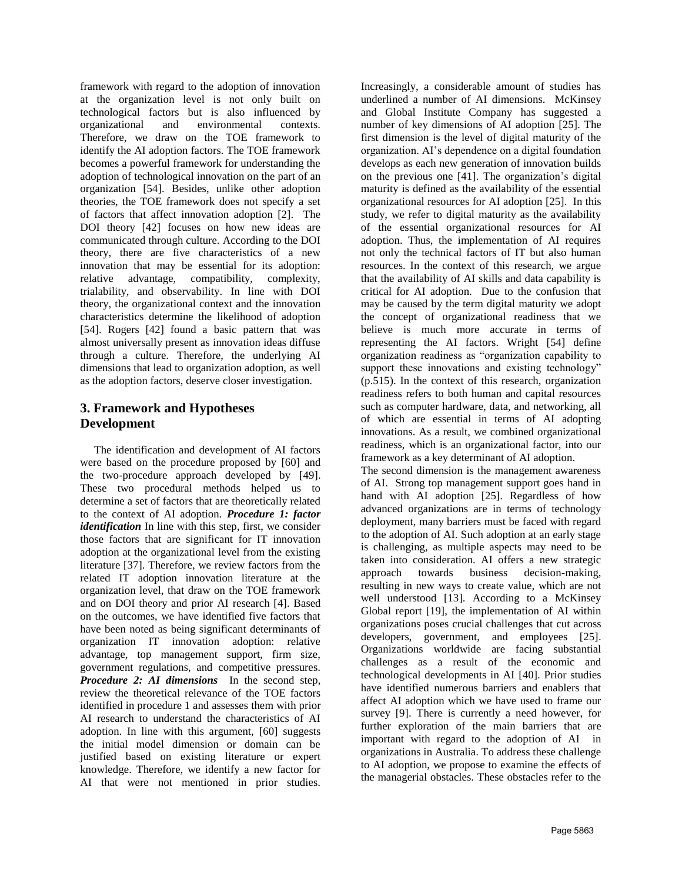framework with regard to the adoption of innovation at the organization level is not only built on technological factors but is also influenced by organizational and environmental contexts. Therefore, we draw on the TOE framework to identify the AI adoption factors. The TOE framework becomes a powerful framework for understanding the adoption of technological innovation on the part of an organization [54]. Besides, unlike other adoption theories, the TOE framework does not specify a set of factors that affect innovation adoption [2]. The DOI theory [42] focuses on how new ideas are communicated through culture. According to the DOI theory, there are five characteristics of a new innovation that may be essential for its adoption: relative advantage, compatibility, complexity, trialability, and observability. In line with DOI theory, the organizational context and the innovation characteristics determine the likelihood of adoption [54]. Rogers [42] found a basic pattern that was almost universally present as innovation ideas diffuse through a culture. Therefore, the underlying AI dimensions that lead to organization adoption, as well as the adoption factors, deserve closer investigation.

## **3. Framework and Hypotheses Development**

 The identification and development of AI factors were based on the procedure proposed by [60] and the two-procedure approach developed by [49]. These two procedural methods helped us to determine a set of factors that are theoretically related to the context of AI adoption. *Procedure 1: factor identification* In line with this step, first, we consider those factors that are significant for IT innovation adoption at the organizational level from the existing literature [37]. Therefore, we review factors from the related IT adoption innovation literature at the organization level, that draw on the TOE framework and on DOI theory and prior AI research [4]. Based on the outcomes, we have identified five factors that have been noted as being significant determinants of organization IT innovation adoption: relative advantage, top management support, firm size, government regulations, and competitive pressures. *Procedure 2: AI dimensions* In the second step, review the theoretical relevance of the TOE factors identified in procedure 1 and assesses them with prior AI research to understand the characteristics of AI adoption. In line with this argument, [60] suggests the initial model dimension or domain can be justified based on existing literature or expert knowledge. Therefore, we identify a new factor for AI that were not mentioned in prior studies.

Increasingly, a considerable amount of studies has underlined a number of AI dimensions. McKinsey and Global Institute Company has suggested a number of key dimensions of AI adoption [25]. The first dimension is the level of digital maturity of the organization. AI's dependence on a digital foundation develops as each new generation of innovation builds on the previous one [41]. The organization's digital maturity is defined as the availability of the essential organizational resources for AI adoption [25]. In this study, we refer to digital maturity as the availability of the essential organizational resources for AI adoption. Thus, the implementation of AI requires not only the technical factors of IT but also human resources. In the context of this research, we argue that the availability of AI skills and data capability is critical for AI adoption. Due to the confusion that may be caused by the term digital maturity we adopt the concept of organizational readiness that we believe is much more accurate in terms of representing the AI factors. Wright [54] define organization readiness as "organization capability to support these innovations and existing technology" (p.515). In the context of this research, organization readiness refers to both human and capital resources such as computer hardware, data, and networking, all of which are essential in terms of AI adopting innovations. As a result, we combined organizational readiness, which is an organizational factor, into our framework as a key determinant of AI adoption.

The second dimension is the management awareness of AI. Strong top management support goes hand in hand with AI adoption [25]. Regardless of how advanced organizations are in terms of technology deployment, many barriers must be faced with regard to the adoption of AI. Such adoption at an early stage is challenging, as multiple aspects may need to be taken into consideration. AI offers a new strategic approach towards business decision-making, resulting in new ways to create value, which are not well understood [13]. According to a McKinsey Global report [19], the implementation of AI within organizations poses crucial challenges that cut across developers, government, and employees [25]. Organizations worldwide are facing substantial challenges as a result of the economic and technological developments in AI [40]. Prior studies have identified numerous barriers and enablers that affect AI adoption which we have used to frame our survey [9]. There is currently a need however, for further exploration of the main barriers that are important with regard to the adoption of AI in organizations in Australia. To address these challenge to AI adoption, we propose to examine the effects of the managerial obstacles. These obstacles refer to the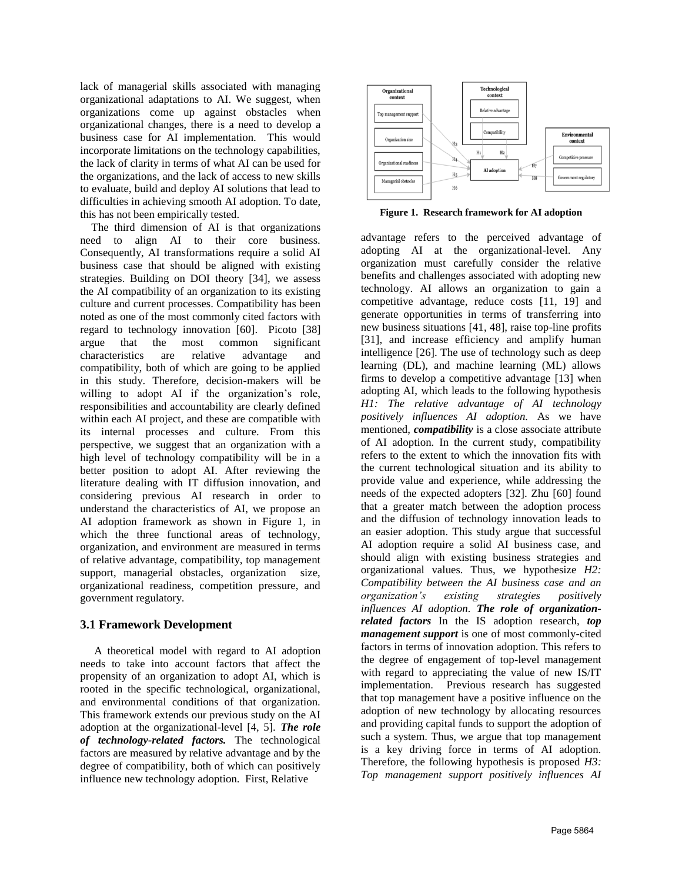lack of managerial skills associated with managing organizational adaptations to AI. We suggest, when organizations come up against obstacles when organizational changes, there is a need to develop a business case for AI implementation. This would incorporate limitations on the technology capabilities, the lack of clarity in terms of what AI can be used for the organizations, and the lack of access to new skills to evaluate, build and deploy AI solutions that lead to difficulties in achieving smooth AI adoption. To date, this has not been empirically tested.

 The third dimension of AI is that organizations need to align AI to their core business. Consequently, AI transformations require a solid AI business case that should be aligned with existing strategies. Building on DOI theory [34], we assess the AI compatibility of an organization to its existing culture and current processes. Compatibility has been noted as one of the most commonly cited factors with regard to technology innovation [60]. Picoto [38] argue that the most common significant characteristics are relative advantage and compatibility, both of which are going to be applied in this study. Therefore, decision-makers will be willing to adopt AI if the organization's role, responsibilities and accountability are clearly defined within each AI project, and these are compatible with its internal processes and culture. From this perspective, we suggest that an organization with a high level of technology compatibility will be in a better position to adopt AI. After reviewing the literature dealing with IT diffusion innovation, and considering previous AI research in order to understand the characteristics of AI, we propose an AI adoption framework as shown in Figure 1, in which the three functional areas of technology, organization, and environment are measured in terms of relative advantage, compatibility, top management support, managerial obstacles, organization size, organizational readiness, competition pressure, and government regulatory.

#### **3.1 Framework Development**

 A theoretical model with regard to AI adoption needs to take into account factors that affect the propensity of an organization to adopt AI, which is rooted in the specific technological, organizational, and environmental conditions of that organization. This framework extends our previous study on the AI adoption at the organizational-level [4, 5]. *The role of technology-related factors.* The technological factors are measured by relative advantage and by the degree of compatibility, both of which can positively influence new technology adoption. First, Relative



**Figure 1. Research framework for AI adoption**

advantage refers to the perceived advantage of adopting AI at the organizational-level. Any organization must carefully consider the relative benefits and challenges associated with adopting new technology. AI allows an organization to gain a competitive advantage, reduce costs [11, 19] and generate opportunities in terms of transferring into new business situations [41, 48], raise top-line profits [31], and increase efficiency and amplify human intelligence [26]. The use of technology such as deep learning (DL), and machine learning (ML) allows firms to develop a competitive advantage [13] when adopting AI, which leads to the following hypothesis *H1: The relative advantage of AI technology positively influences AI adoption.* As we have mentioned, *compatibility* is a close associate attribute of AI adoption. In the current study, compatibility refers to the extent to which the innovation fits with the current technological situation and its ability to provide value and experience, while addressing the needs of the expected adopters [32]. Zhu [60] found that a greater match between the adoption process and the diffusion of technology innovation leads to an easier adoption. This study argue that successful AI adoption require a solid AI business case, and should align with existing business strategies and organizational values. Thus, we hypothesize *H2: Compatibility between the AI business case and an organization's existing strategies positively influences AI adoption. The role of organizationrelated factors* In the IS adoption research, *top management support* is one of most commonly-cited factors in terms of innovation adoption. This refers to the degree of engagement of top-level management with regard to appreciating the value of new IS/IT implementation. Previous research has suggested that top management have a positive influence on the adoption of new technology by allocating resources and providing capital funds to support the adoption of such a system. Thus, we argue that top management is a key driving force in terms of AI adoption. Therefore, the following hypothesis is proposed *H3: Top management support positively influences AI*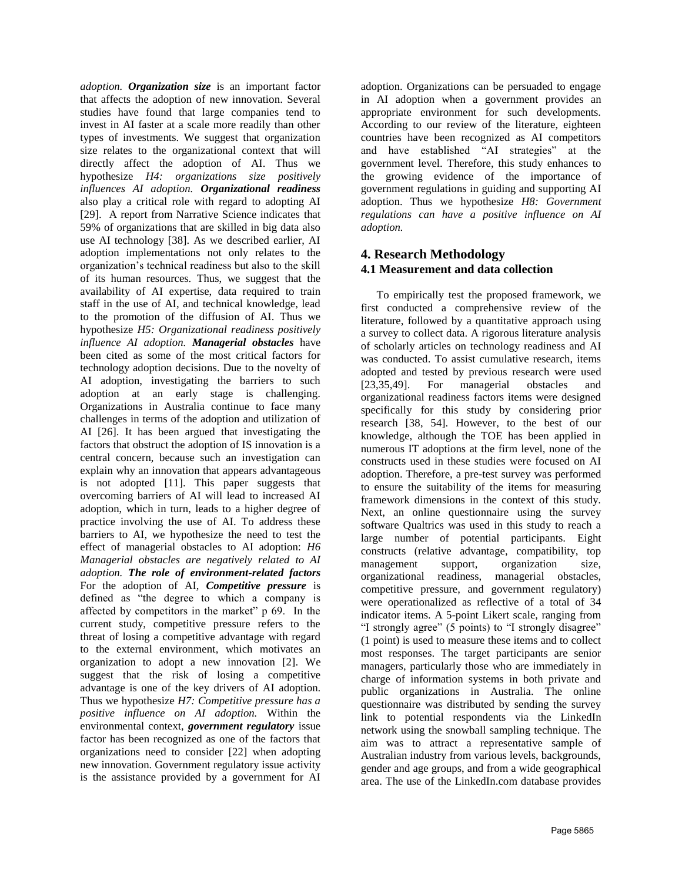*adoption. Organization size* is an important factor that affects the adoption of new innovation. Several studies have found that large companies tend to invest in AI faster at a scale more readily than other types of investments. We suggest that organization size relates to the organizational context that will directly affect the adoption of AI. Thus we hypothesize *H4: organizations size positively influences AI adoption. Organizational readiness* also play a critical role with regard to adopting AI [29]. A report from Narrative Science indicates that 59% of organizations that are skilled in big data also use AI technology [38]. As we described earlier, AI adoption implementations not only relates to the organization's technical readiness but also to the skill of its human resources. Thus, we suggest that the availability of AI expertise, data required to train staff in the use of AI, and technical knowledge, lead to the promotion of the diffusion of AI. Thus we hypothesize *H5: Organizational readiness positively influence AI adoption. Managerial obstacles* have been cited as some of the most critical factors for technology adoption decisions. Due to the novelty of AI adoption, investigating the barriers to such adoption at an early stage is challenging. Organizations in Australia continue to face many challenges in terms of the adoption and utilization of AI [26]. It has been argued that investigating the factors that obstruct the adoption of IS innovation is a central concern, because such an investigation can explain why an innovation that appears advantageous is not adopted [11]. This paper suggests that overcoming barriers of AI will lead to increased AI adoption, which in turn, leads to a higher degree of practice involving the use of AI. To address these barriers to AI, we hypothesize the need to test the effect of managerial obstacles to AI adoption: *H6 Managerial obstacles are negatively related to AI adoption. The role of environment-related factors*  For the adoption of AI, *Competitive pressure* is defined as "the degree to which a company is affected by competitors in the market" p 69. In the current study, competitive pressure refers to the threat of losing a competitive advantage with regard to the external environment, which motivates an organization to adopt a new innovation [2]. We suggest that the risk of losing a competitive advantage is one of the key drivers of AI adoption. Thus we hypothesize *H7: Competitive pressure has a positive influence on AI adoption.* Within the environmental context, *government regulatory* issue factor has been recognized as one of the factors that organizations need to consider [22] when adopting new innovation. Government regulatory issue activity is the assistance provided by a government for AI

adoption. Organizations can be persuaded to engage in AI adoption when a government provides an appropriate environment for such developments. According to our review of the literature, eighteen countries have been recognized as AI competitors and have established "AI strategies" at the government level. Therefore, this study enhances to the growing evidence of the importance of government regulations in guiding and supporting AI adoption. Thus we hypothesize *H8: Government regulations can have a positive influence on AI adoption.*

### **4. Research Methodology 4.1 Measurement and data collection**

To empirically test the proposed framework, we first conducted a comprehensive review of the literature, followed by a quantitative approach using a survey to collect data. A rigorous literature analysis of scholarly articles on technology readiness and AI was conducted. To assist cumulative research, items adopted and tested by previous research were used [23,35,49]. For managerial obstacles and organizational readiness factors items were designed specifically for this study by considering prior research [38, 54]. However, to the best of our knowledge, although the TOE has been applied in numerous IT adoptions at the firm level, none of the constructs used in these studies were focused on AI adoption. Therefore, a pre-test survey was performed to ensure the suitability of the items for measuring framework dimensions in the context of this study. Next, an online questionnaire using the survey software Qualtrics was used in this study to reach a large number of potential participants. Eight constructs (relative advantage, compatibility, top management support, organization size, organizational readiness, managerial obstacles, competitive pressure, and government regulatory) were operationalized as reflective of a total of 34 indicator items. A 5-point Likert scale, ranging from "I strongly agree" (5 points) to "I strongly disagree" (1 point) is used to measure these items and to collect most responses. The target participants are senior managers, particularly those who are immediately in charge of information systems in both private and public organizations in Australia. The online questionnaire was distributed by sending the survey link to potential respondents via the LinkedIn network using the snowball sampling technique. The aim was to attract a representative sample of Australian industry from various levels, backgrounds, gender and age groups, and from a wide geographical area. The use of the LinkedIn.com database provides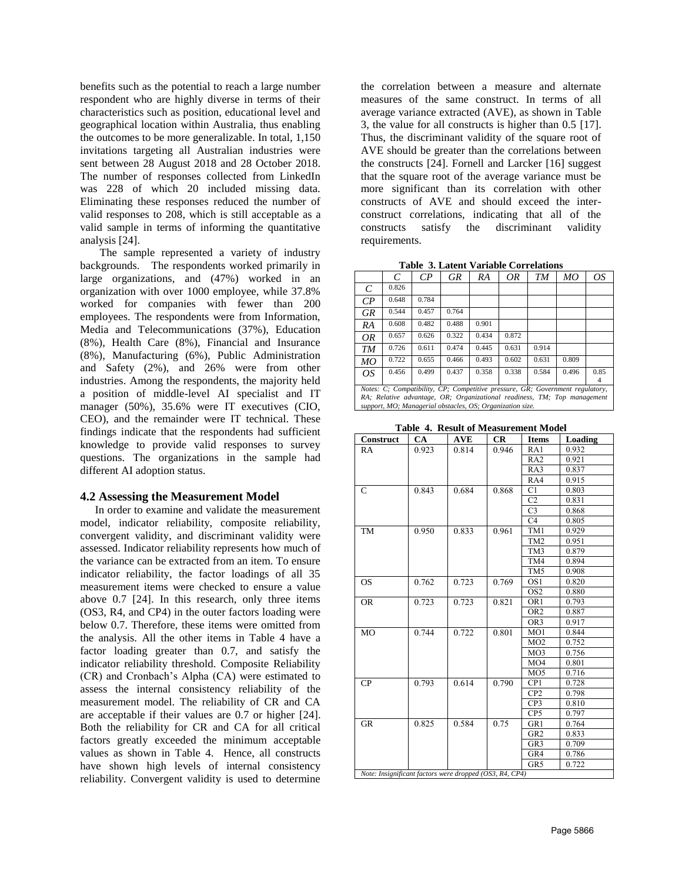benefits such as the potential to reach a large number respondent who are highly diverse in terms of their characteristics such as position, educational level and geographical location within Australia, thus enabling the outcomes to be more generalizable. In total, 1,150 invitations targeting all Australian industries were sent between 28 August 2018 and 28 October 2018. The number of responses collected from LinkedIn was 228 of which 20 included missing data. Eliminating these responses reduced the number of valid responses to 208, which is still acceptable as a valid sample in terms of informing the quantitative analysis [24].

 The sample represented a variety of industry backgrounds. The respondents worked primarily in large organizations, and (47%) worked in an organization with over 1000 employee, while 37.8% worked for companies with fewer than 200 employees. The respondents were from Information, Media and Telecommunications (37%), Education (8%), Health Care (8%), Financial and Insurance (8%), Manufacturing (6%), Public Administration and Safety (2%), and 26% were from other industries. Among the respondents, the majority held a position of middle-level AI specialist and IT manager (50%), 35.6% were IT executives (CIO, CEO), and the remainder were IT technical. These findings indicate that the respondents had sufficient knowledge to provide valid responses to survey questions. The organizations in the sample had different AI adoption status.

#### **4.2 Assessing the Measurement Model**

In order to examine and validate the measurement model, indicator reliability, composite reliability, convergent validity, and discriminant validity were assessed. Indicator reliability represents how much of the variance can be extracted from an item. To ensure indicator reliability, the factor loadings of all 35 measurement items were checked to ensure a value above 0.7 [24]. In this research, only three items (OS3, R4, and CP4) in the outer factors loading were below 0.7. Therefore, these items were omitted from the analysis. All the other items in Table 4 have a factor loading greater than 0.7, and satisfy the indicator reliability threshold. Composite Reliability (CR) and Cronbach's Alpha (CA) were estimated to assess the internal consistency reliability of the measurement model. The reliability of CR and CA are acceptable if their values are 0.7 or higher [24]. Both the reliability for CR and CA for all critical factors greatly exceeded the minimum acceptable values as shown in Table 4. Hence, all constructs have shown high levels of internal consistency reliability. Convergent validity is used to determine

the correlation between a measure and alternate measures of the same construct. In terms of all average variance extracted (AVE), as shown in Table 3, the value for all constructs is higher than 0.5 [17]. Thus, the discriminant validity of the square root of AVE should be greater than the correlations between the constructs [24]. Fornell and Larcker [16] suggest that the square root of the average variance must be more significant than its correlation with other constructs of AVE and should exceed the interconstruct correlations, indicating that all of the constructs satisfy the discriminant validity requirements.

**Table 3. Latent Variable Correlations**

|                                                                               | C                                                         | $\mathcal{C}P$ | <b>GR</b> | RА    | OR    | TМ    | МO    | OS   |
|-------------------------------------------------------------------------------|-----------------------------------------------------------|----------------|-----------|-------|-------|-------|-------|------|
| C                                                                             | 0.826                                                     |                |           |       |       |       |       |      |
| $\mathcal{C}P$                                                                | 0.648                                                     | 0.784          |           |       |       |       |       |      |
| <b>GR</b>                                                                     | 0.544                                                     | 0.457          | 0.764     |       |       |       |       |      |
| RA                                                                            | 0.608                                                     | 0.482          | 0.488     | 0.901 |       |       |       |      |
| OR                                                                            | 0.657                                                     | 0.626          | 0.322     | 0.434 | 0.872 |       |       |      |
| TM                                                                            | 0.726                                                     | 0.611          | 0.474     | 0.445 | 0.631 | 0.914 |       |      |
| МO                                                                            | 0.722                                                     | 0.655          | 0.466     | 0.493 | 0.602 | 0.631 | 0.809 |      |
| OS                                                                            | 0.456                                                     | 0.499          | 0.437     | 0.358 | 0.338 | 0.584 | 0.496 | 0.85 |
|                                                                               |                                                           |                |           |       |       |       |       | 4    |
| Notes: C: Compatibility, CP; Competitive pressure, GR; Government regulatory, |                                                           |                |           |       |       |       |       |      |
| RA; Relative advantage, OR; Organizational readiness, TM; Top management      |                                                           |                |           |       |       |       |       |      |
|                                                                               | support, MO; Managerial obstacles, OS; Organization size. |                |           |       |       |       |       |      |

**Table 4. Result of Measurement Model**

| Construct                                               | CA    | <b>AVE</b> | CR    | <b>Items</b>    | Loading |  |  |
|---------------------------------------------------------|-------|------------|-------|-----------------|---------|--|--|
| <b>RA</b>                                               | 0.923 | 0.814      | 0.946 | RA1             | 0.932   |  |  |
|                                                         |       |            |       | RA <sub>2</sub> | 0.921   |  |  |
|                                                         |       |            |       | RA3             | 0.837   |  |  |
|                                                         |       |            |       | RA4             | 0.915   |  |  |
| $\mathcal{C}$                                           | 0.843 | 0.684      | 0.868 | C <sub>1</sub>  | 0.803   |  |  |
|                                                         |       |            |       | C <sub>2</sub>  | 0.831   |  |  |
|                                                         |       |            |       | C <sub>3</sub>  | 0.868   |  |  |
|                                                         |       |            |       | C <sub>4</sub>  | 0.805   |  |  |
| <b>TM</b>                                               | 0.950 | 0.833      | 0.961 | TM1             | 0.929   |  |  |
|                                                         |       |            |       | TM <sub>2</sub> | 0.951   |  |  |
|                                                         |       |            |       | TM3             | 0.879   |  |  |
|                                                         |       |            |       | TM4             | 0.894   |  |  |
|                                                         |       |            |       | TM5             | 0.908   |  |  |
| <b>OS</b>                                               | 0.762 | 0.723      | 0.769 | OS <sub>1</sub> | 0.820   |  |  |
|                                                         |       |            |       | OS <sub>2</sub> | 0.880   |  |  |
| <b>OR</b>                                               | 0.723 | 0.723      | 0.821 | OR <sub>1</sub> | 0.793   |  |  |
|                                                         |       |            |       | OR <sub>2</sub> | 0.887   |  |  |
|                                                         |       |            |       | OR <sub>3</sub> | 0.917   |  |  |
| M <sub>O</sub>                                          | 0.744 | 0.722      | 0.801 | MO1             | 0.844   |  |  |
|                                                         |       |            |       | MO2             | 0.752   |  |  |
|                                                         |       |            |       | MO <sub>3</sub> | 0.756   |  |  |
|                                                         |       |            |       | MO4             | 0.801   |  |  |
|                                                         |       |            |       | MO <sub>5</sub> | 0.716   |  |  |
| CP                                                      | 0.793 | 0.614      | 0.790 | CP1             | 0.728   |  |  |
|                                                         |       |            |       | CP <sub>2</sub> | 0.798   |  |  |
|                                                         |       |            |       | CP3             | 0.810   |  |  |
|                                                         |       |            |       | CP5             | 0.797   |  |  |
| <b>GR</b>                                               | 0.825 | 0.584      | 0.75  | GR1             | 0.764   |  |  |
|                                                         |       |            |       | GR <sub>2</sub> | 0.833   |  |  |
|                                                         |       |            |       | GR <sub>3</sub> | 0.709   |  |  |
|                                                         |       |            |       | GR4             | 0.786   |  |  |
|                                                         |       |            |       | GR5             | 0.722   |  |  |
| Note: Insignificant factors were dropped (OS3, R4, CP4) |       |            |       |                 |         |  |  |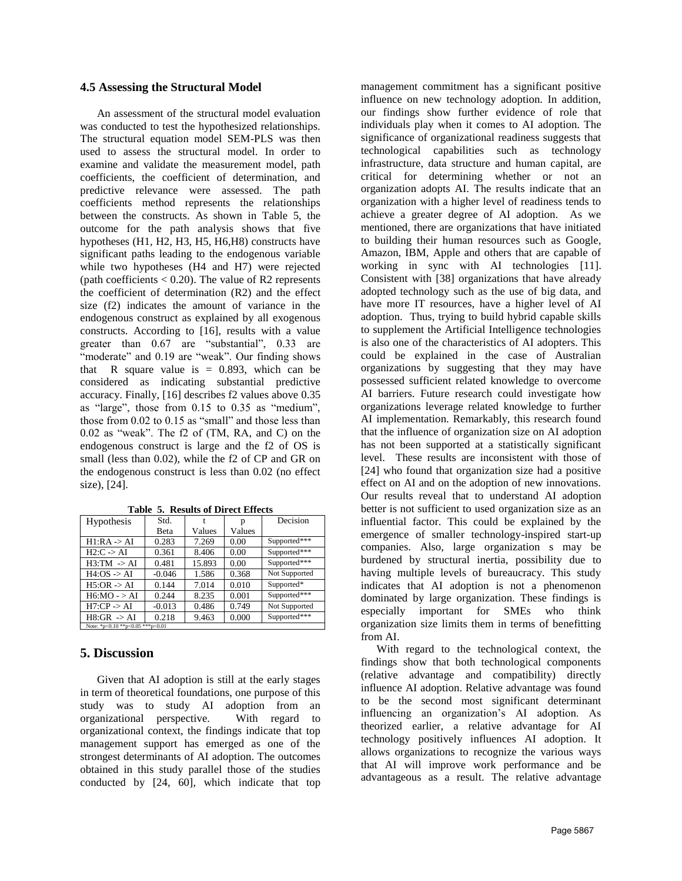#### **4.5 Assessing the Structural Model**

 An assessment of the structural model evaluation was conducted to test the hypothesized relationships. The structural equation model SEM-PLS was then used to assess the structural model. In order to examine and validate the measurement model, path coefficients, the coefficient of determination, and predictive relevance were assessed. The path coefficients method represents the relationships between the constructs. As shown in Table 5, the outcome for the path analysis shows that five hypotheses (H1, H2, H3, H5, H6,H8) constructs have significant paths leading to the endogenous variable while two hypotheses (H4 and H7) were rejected (path coefficients  $< 0.20$ ). The value of R2 represents the coefficient of determination (R2) and the effect size (f2) indicates the amount of variance in the endogenous construct as explained by all exogenous constructs. According to [16], results with a value greater than 0.67 are "substantial", 0.33 are "moderate" and 0.19 are "weak". Our finding shows that R square value is  $= 0.893$ , which can be considered as indicating substantial predictive accuracy. Finally, [16] describes f2 values above 0.35 as "large", those from 0.15 to 0.35 as "medium", those from 0.02 to 0.15 as "small" and those less than 0.02 as "weak". The f2 of (TM, RA, and C) on the endogenous construct is large and the f2 of OS is small (less than 0.02), while the f2 of CP and GR on the endogenous construct is less than 0.02 (no effect size), [24].

| Hypothesis                       | Std.     |        |        | Decision      |  |  |
|----------------------------------|----------|--------|--------|---------------|--|--|
|                                  | Beta     | Values | Values |               |  |  |
| $H1:RA \rightarrow AI$           | 0.283    | 7.269  | 0.00   | Supported***  |  |  |
| $H2: C \rightarrow AI$           | 0.361    | 8.406  | 0.00   | Supported***  |  |  |
| $H3:TM \rightarrow AI$           | 0.481    | 15.893 | 0.00   | Supported***  |  |  |
| $H4:OS \rightarrow AI$           | $-0.046$ | 1.586  | 0.368  | Not Supported |  |  |
| $H5:OR \rightarrow AI$           | 0.144    | 7.014  | 0.010  | Supported*    |  |  |
| $H6:MO - > AI$                   | 0.244    | 8.235  | 0.001  | Supported***  |  |  |
| $H7:CP \rightarrow AI$           | $-0.013$ | 0.486  | 0.749  | Not Supported |  |  |
| $H8:GR \rightarrow AI$           | 0.218    | 9.463  | 0.000  | Supported***  |  |  |
| Note: *p<0.10 **p<0.05 ***p<0.01 |          |        |        |               |  |  |

**Table 5. Results of Direct Effects**

### **5. Discussion**

 Given that AI adoption is still at the early stages in term of theoretical foundations, one purpose of this study was to study AI adoption from an organizational perspective. With regard to organizational context, the findings indicate that top management support has emerged as one of the strongest determinants of AI adoption. The outcomes obtained in this study parallel those of the studies conducted by [24, 60], which indicate that top

management commitment has a significant positive influence on new technology adoption. In addition, our findings show further evidence of role that individuals play when it comes to AI adoption. The significance of organizational readiness suggests that technological capabilities such as technology infrastructure, data structure and human capital, are critical for determining whether or not an organization adopts AI. The results indicate that an organization with a higher level of readiness tends to achieve a greater degree of AI adoption. As we mentioned, there are organizations that have initiated to building their human resources such as Google, Amazon, IBM, Apple and others that are capable of working in sync with AI technologies [11]. Consistent with [38] organizations that have already adopted technology such as the use of big data, and have more IT resources, have a higher level of AI adoption. Thus, trying to build hybrid capable skills to supplement the Artificial Intelligence technologies is also one of the characteristics of AI adopters. This could be explained in the case of Australian organizations by suggesting that they may have possessed sufficient related knowledge to overcome AI barriers. Future research could investigate how organizations leverage related knowledge to further AI implementation. Remarkably, this research found that the influence of organization size on AI adoption has not been supported at a statistically significant level. These results are inconsistent with those of [24] who found that organization size had a positive effect on AI and on the adoption of new innovations. Our results reveal that to understand AI adoption better is not sufficient to used organization size as an influential factor. This could be explained by the emergence of smaller technology-inspired start-up companies. Also, large organization s may be burdened by structural inertia, possibility due to having multiple levels of bureaucracy. This study indicates that AI adoption is not a phenomenon dominated by large organization. These findings is especially important for SMEs who think organization size limits them in terms of benefitting from AI.

With regard to the technological context, the findings show that both technological components (relative advantage and compatibility) directly influence AI adoption. Relative advantage was found to be the second most significant determinant influencing an organization's AI adoption. As theorized earlier, a relative advantage for AI technology positively influences AI adoption. It allows organizations to recognize the various ways that AI will improve work performance and be advantageous as a result. The relative advantage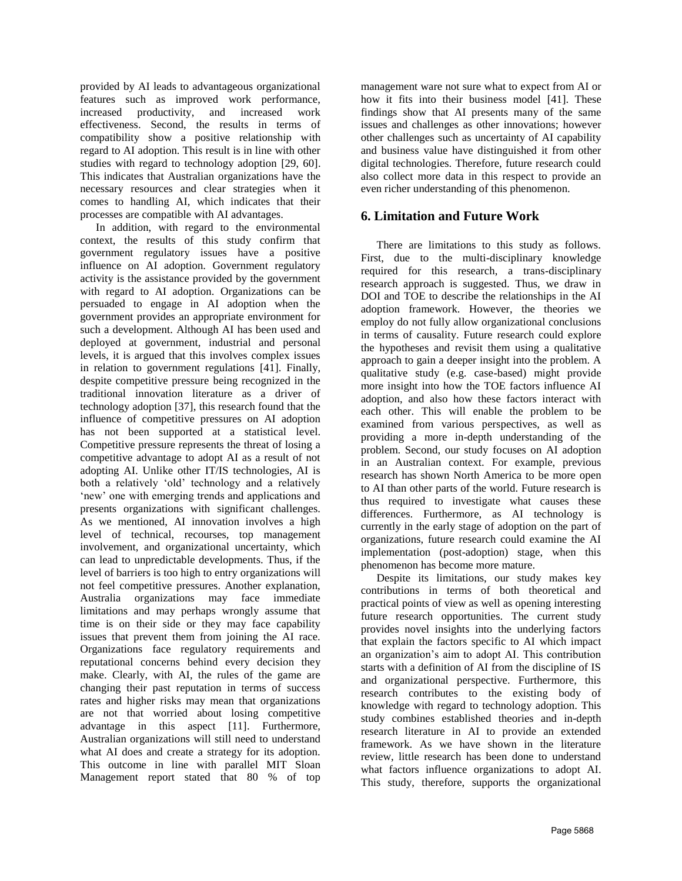provided by AI leads to advantageous organizational features such as improved work performance, increased productivity, and increased work effectiveness. Second, the results in terms of compatibility show a positive relationship with regard to AI adoption. This result is in line with other studies with regard to technology adoption [29, 60]. This indicates that Australian organizations have the necessary resources and clear strategies when it comes to handling AI, which indicates that their processes are compatible with AI advantages.

In addition, with regard to the environmental context, the results of this study confirm that government regulatory issues have a positive influence on AI adoption. Government regulatory activity is the assistance provided by the government with regard to AI adoption. Organizations can be persuaded to engage in AI adoption when the government provides an appropriate environment for such a development. Although AI has been used and deployed at government, industrial and personal levels, it is argued that this involves complex issues in relation to government regulations [41]. Finally, despite competitive pressure being recognized in the traditional innovation literature as a driver of technology adoption [37], this research found that the influence of competitive pressures on AI adoption has not been supported at a statistical level. Competitive pressure represents the threat of losing a competitive advantage to adopt AI as a result of not adopting AI. Unlike other IT/IS technologies, AI is both a relatively 'old' technology and a relatively 'new' one with emerging trends and applications and presents organizations with significant challenges. As we mentioned, AI innovation involves a high level of technical, recourses, top management involvement, and organizational uncertainty, which can lead to unpredictable developments. Thus, if the level of barriers is too high to entry organizations will not feel competitive pressures. Another explanation, Australia organizations may face immediate limitations and may perhaps wrongly assume that time is on their side or they may face capability issues that prevent them from joining the AI race. Organizations face regulatory requirements and reputational concerns behind every decision they make. Clearly, with AI, the rules of the game are changing their past reputation in terms of success rates and higher risks may mean that organizations are not that worried about losing competitive advantage in this aspect [11]. Furthermore, Australian organizations will still need to understand what AI does and create a strategy for its adoption. This outcome in line with parallel MIT Sloan Management report stated that 80 % of top

management ware not sure what to expect from AI or how it fits into their business model [41]. These findings show that AI presents many of the same issues and challenges as other innovations; however other challenges such as uncertainty of AI capability and business value have distinguished it from other digital technologies. Therefore, future research could also collect more data in this respect to provide an even richer understanding of this phenomenon.

## **6. Limitation and Future Work**

There are limitations to this study as follows. First, due to the multi-disciplinary knowledge required for this research, a trans-disciplinary research approach is suggested. Thus, we draw in DOI and TOE to describe the relationships in the AI adoption framework. However, the theories we employ do not fully allow organizational conclusions in terms of causality. Future research could explore the hypotheses and revisit them using a qualitative approach to gain a deeper insight into the problem. A qualitative study (e.g. case-based) might provide more insight into how the TOE factors influence AI adoption, and also how these factors interact with each other. This will enable the problem to be examined from various perspectives, as well as providing a more in-depth understanding of the problem. Second, our study focuses on AI adoption in an Australian context. For example, previous research has shown North America to be more open to AI than other parts of the world. Future research is thus required to investigate what causes these differences. Furthermore, as AI technology is currently in the early stage of adoption on the part of organizations, future research could examine the AI implementation (post-adoption) stage, when this phenomenon has become more mature.

Despite its limitations, our study makes key contributions in terms of both theoretical and practical points of view as well as opening interesting future research opportunities. The current study provides novel insights into the underlying factors that explain the factors specific to AI which impact an organization's aim to adopt AI. This contribution starts with a definition of AI from the discipline of IS and organizational perspective. Furthermore, this research contributes to the existing body of knowledge with regard to technology adoption. This study combines established theories and in-depth research literature in AI to provide an extended framework. As we have shown in the literature review, little research has been done to understand what factors influence organizations to adopt AI. This study, therefore, supports the organizational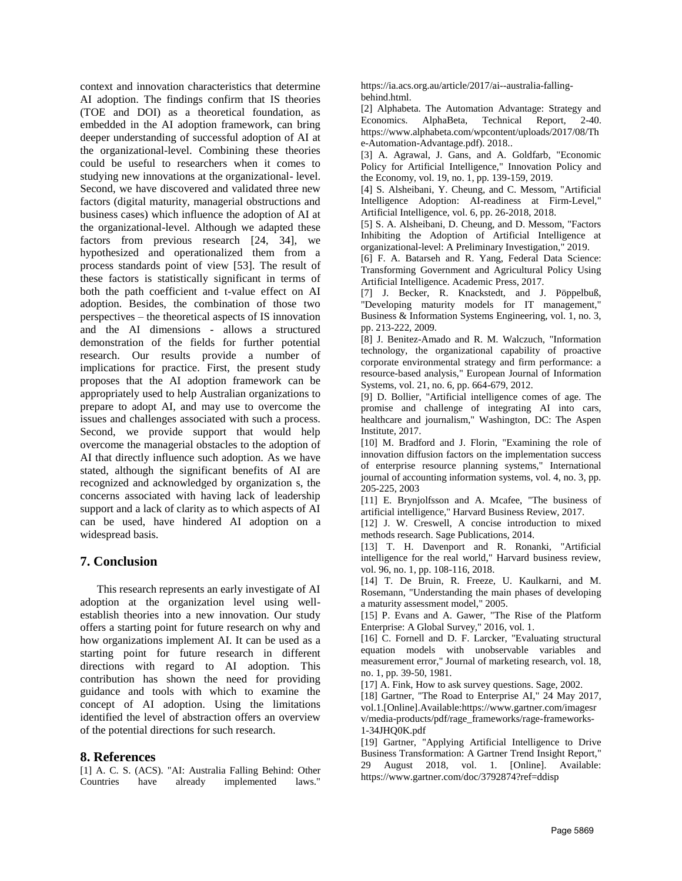context and innovation characteristics that determine AI adoption. The findings confirm that IS theories (TOE and DOI) as a theoretical foundation, as embedded in the AI adoption framework, can bring deeper understanding of successful adoption of AI at the organizational-level. Combining these theories could be useful to researchers when it comes to studying new innovations at the organizational- level. Second, we have discovered and validated three new factors (digital maturity, managerial obstructions and business cases) which influence the adoption of AI at the organizational-level. Although we adapted these factors from previous research [24, 34], we hypothesized and operationalized them from a process standards point of view [53]. The result of these factors is statistically significant in terms of both the path coefficient and t-value effect on AI adoption. Besides, the combination of those two perspectives – the theoretical aspects of IS innovation and the AI dimensions - allows a structured demonstration of the fields for further potential research. Our results provide a number of implications for practice. First, the present study proposes that the AI adoption framework can be appropriately used to help Australian organizations to prepare to adopt AI, and may use to overcome the issues and challenges associated with such a process. Second, we provide support that would help overcome the managerial obstacles to the adoption of AI that directly influence such adoption. As we have stated, although the significant benefits of AI are recognized and acknowledged by organization s, the concerns associated with having lack of leadership support and a lack of clarity as to which aspects of AI can be used, have hindered AI adoption on a widespread basis.

### **7. Conclusion**

 This research represents an early investigate of AI adoption at the organization level using wellestablish theories into a new innovation. Our study offers a starting point for future research on why and how organizations implement AI. It can be used as a starting point for future research in different directions with regard to AI adoption. This contribution has shown the need for providing guidance and tools with which to examine the concept of AI adoption. Using the limitations identified the level of abstraction offers an overview of the potential directions for such research.

#### **8. References**

[1] A. C. S. (ACS). "AI: Australia Falling Behind: Other Countries have already implemented laws."

https://ia.acs.org.au/article/2017/ai--australia-fallingbehind.html.

[2] Alphabeta. The Automation Advantage: Strategy and Economics. AlphaBeta, Technical Report, 2-40. https://www.alphabeta.com/wpcontent/uploads/2017/08/Th e-Automation-Advantage.pdf). 2018..

[3] A. Agrawal, J. Gans, and A. Goldfarb, "Economic Policy for Artificial Intelligence," Innovation Policy and the Economy, vol. 19, no. 1, pp. 139-159, 2019.

[4] S. Alsheibani, Y. Cheung, and C. Messom, "Artificial Intelligence Adoption: AI-readiness at Firm-Level," Artificial Intelligence, vol. 6, pp. 26-2018, 2018.

[5] S. A. Alsheibani, D. Cheung, and D. Messom, "Factors Inhibiting the Adoption of Artificial Intelligence at organizational-level: A Preliminary Investigation," 2019.

[6] F. A. Batarseh and R. Yang, Federal Data Science: Transforming Government and Agricultural Policy Using Artificial Intelligence. Academic Press, 2017.

[7] J. Becker, R. Knackstedt, and J. Pöppelbuß, "Developing maturity models for IT management," Business & Information Systems Engineering, vol. 1, no. 3, pp. 213-222, 2009.

[8] J. Benitez-Amado and R. M. Walczuch, "Information technology, the organizational capability of proactive corporate environmental strategy and firm performance: a resource-based analysis," European Journal of Information Systems, vol. 21, no. 6, pp. 664-679, 2012.

[9] D. Bollier, "Artificial intelligence comes of age. The promise and challenge of integrating AI into cars, healthcare and journalism," Washington, DC: The Aspen Institute, 2017.

[10] M. Bradford and J. Florin, "Examining the role of innovation diffusion factors on the implementation success of enterprise resource planning systems," International journal of accounting information systems, vol. 4, no. 3, pp. 205-225, 2003

[11] E. Brynjolfsson and A. Mcafee, "The business of artificial intelligence," Harvard Business Review, 2017.

[12] J. W. Creswell, A concise introduction to mixed methods research. Sage Publications, 2014.

[13] T. H. Davenport and R. Ronanki, "Artificial intelligence for the real world," Harvard business review, vol. 96, no. 1, pp. 108-116, 2018.

[14] T. De Bruin, R. Freeze, U. Kaulkarni, and M. Rosemann, "Understanding the main phases of developing a maturity assessment model," 2005.

[15] P. Evans and A. Gawer, "The Rise of the Platform Enterprise: A Global Survey," 2016, vol. 1.

[16] C. Fornell and D. F. Larcker, "Evaluating structural equation models with unobservable variables and measurement error," Journal of marketing research, vol. 18, no. 1, pp. 39-50, 1981.

[17] A. Fink, How to ask survey questions. Sage, 2002.

[18] Gartner, "The Road to Enterprise AI," 24 May 2017, vol.1.[Online].Available:https://www.gartner.com/imagesr v/media-products/pdf/rage\_frameworks/rage-frameworks-1-34JHQ0K.pdf

[19] Gartner, "Applying Artificial Intelligence to Drive Business Transformation: A Gartner Trend Insight Report," 29 August 2018, vol. 1. [Online]. Available: https://www.gartner.com/doc/3792874?ref=ddisp